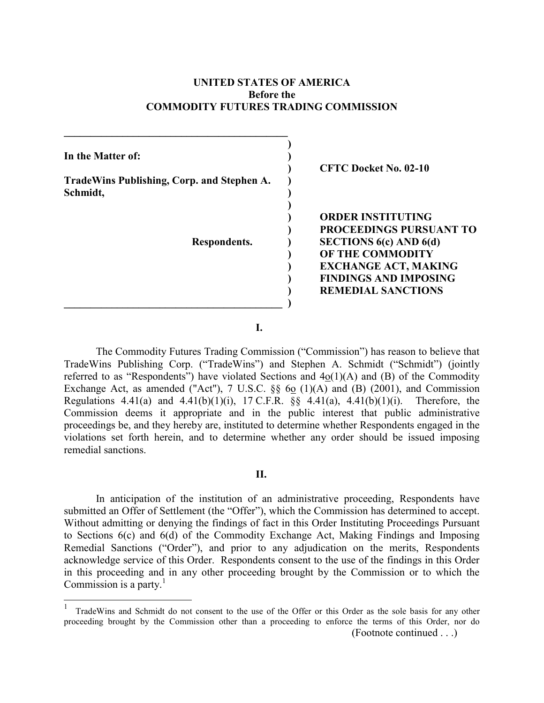## **UNITED STATES OF AMERICA Before the COMMODITY FUTURES TRADING COMMISSION**

<span id="page-0-0"></span>

| In the Matter of:                                      | <b>CFTC Docket No. 02-10</b>   |
|--------------------------------------------------------|--------------------------------|
| TradeWins Publishing, Corp. and Stephen A.<br>Schmidt, |                                |
|                                                        | <b>ORDER INSTITUTING</b>       |
|                                                        | <b>PROCEEDINGS PURSUANT TO</b> |
| Respondents.                                           | SECTIONS $6(c)$ AND $6(d)$     |
|                                                        | <b>OF THE COMMODITY</b>        |
|                                                        | <b>EXCHANGE ACT, MAKING</b>    |
|                                                        | <b>FINDINGS AND IMPOSING</b>   |
|                                                        | <b>REMEDIAL SANCTIONS</b>      |
|                                                        |                                |

**I.** 

The Commodity Futures Trading Commission ("Commission") has reason to believe that TradeWins Publishing Corp. ("TradeWins") and Stephen A. Schmidt ("Schmidt") (jointly referred to as "Respondents") have violated Sections and  $4o(1)(A)$  and  $(B)$  of the Commodity Exchange Act, as amended ("Act"), 7 U.S.C.  $\S\S$  60 (1)(A) and (B) (2001), and Commission Regulations 4.41(a) and 4.41(b)(1)(i), 17 C.F.R.  $\S$  4.41(a), 4.41(b)(1)(i). Therefore, the Commission deems it appropriate and in the public interest that public administrative proceedings be, and they hereby are, instituted to determine whether Respondents engaged in the violations set forth herein, and to determine whether any order should be issued imposing remedial sanctions.

### **II.**

In anticipation of the institution of an administrative proceeding, Respondents have submitted an Offer of Settlement (the "Offer"), which the Commission has determined to accept. Without admitting or denying the findings of fact in this Order Instituting Proceedings Pursuant to Sections 6(c) and 6(d) of the Commodity Exchange Act, Making Findings and Imposing Remedial Sanctions ("Order"), and prior to any adjudication on the merits, Respondents acknowledge service of this Order. Respondents consent to the use of the findings in this Order in this proceeding and in any other proceeding brought by the Commission or to which the Commission is a party.<sup>[1](#page-0-0)</sup>

 $\overline{a}$ 

<sup>(</sup>Footnote continued . . .) 1 TradeWins and Schmidt do not consent to the use of the Offer or this Order as the sole basis for any other proceeding brought by the Commission other than a proceeding to enforce the terms of this Order, nor do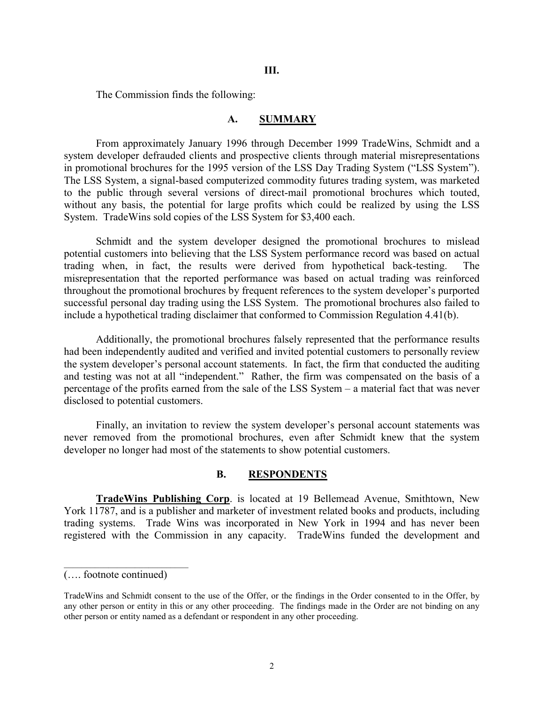The Commission finds the following:

#### **A. SUMMARY**

From approximately January 1996 through December 1999 TradeWins, Schmidt and a system developer defrauded clients and prospective clients through material misrepresentations in promotional brochures for the 1995 version of the LSS Day Trading System ("LSS System"). The LSS System, a signal-based computerized commodity futures trading system, was marketed to the public through several versions of direct-mail promotional brochures which touted, without any basis, the potential for large profits which could be realized by using the LSS System. TradeWins sold copies of the LSS System for \$3,400 each.

Schmidt and the system developer designed the promotional brochures to mislead potential customers into believing that the LSS System performance record was based on actual trading when, in fact, the results were derived from hypothetical back-testing. The misrepresentation that the reported performance was based on actual trading was reinforced throughout the promotional brochures by frequent references to the system developer's purported successful personal day trading using the LSS System. The promotional brochures also failed to include a hypothetical trading disclaimer that conformed to Commission Regulation 4.41(b).

Additionally, the promotional brochures falsely represented that the performance results had been independently audited and verified and invited potential customers to personally review the system developer's personal account statements. In fact, the firm that conducted the auditing and testing was not at all "independent." Rather, the firm was compensated on the basis of a percentage of the profits earned from the sale of the LSS System – a material fact that was never disclosed to potential customers.

Finally, an invitation to review the system developer's personal account statements was never removed from the promotional brochures, even after Schmidt knew that the system developer no longer had most of the statements to show potential customers.

#### **B. RESPONDENTS**

**TradeWins Publishing Corp**. is located at 19 Bellemead Avenue, Smithtown, New York 11787, and is a publisher and marketer of investment related books and products, including trading systems. Trade Wins was incorporated in New York in 1994 and has never been registered with the Commission in any capacity. TradeWins funded the development and

<sup>(….</sup> footnote continued)

TradeWins and Schmidt consent to the use of the Offer, or the findings in the Order consented to in the Offer, by any other person or entity in this or any other proceeding. The findings made in the Order are not binding on any other person or entity named as a defendant or respondent in any other proceeding.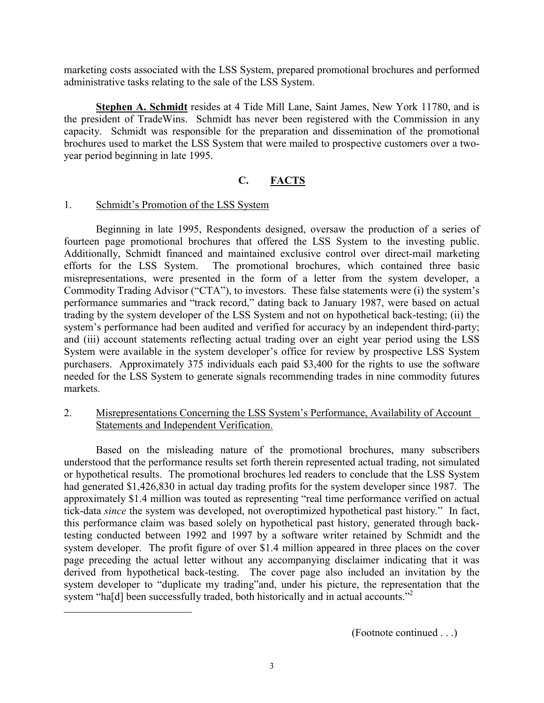marketing costs associated with the LSS System, prepared promotional brochures and performed administrative tasks relating to the sale of the LSS System.

**Stephen A. Schmidt** resides at 4 Tide Mill Lane, Saint James, New York 11780, and is the president of TradeWins. Schmidt has never been registered with the Commission in any capacity. Schmidt was responsible for the preparation and dissemination of the promotional brochures used to market the LSS System that were mailed to prospective customers over a twoyear period beginning in late 1995.

# **C. FACTS**

# 1. Schmidt's Promotion of the LSS System

<span id="page-2-0"></span>l

Beginning in late 1995, Respondents designed, oversaw the production of a series of fourteen page promotional brochures that offered the LSS System to the investing public. Additionally, Schmidt financed and maintained exclusive control over direct-mail marketing efforts for the LSS System. The promotional brochures, which contained three basic misrepresentations, were presented in the form of a letter from the system developer, a Commodity Trading Advisor ("CTA"), to investors. These false statements were (i) the system's performance summaries and "track record," dating back to January 1987, were based on actual trading by the system developer of the LSS System and not on hypothetical back-testing; (ii) the system's performance had been audited and verified for accuracy by an independent third-party; and (iii) account statements reflecting actual trading over an eight year period using the LSS System were available in the system developer's office for review by prospective LSS System purchasers. Approximately 375 individuals each paid \$3,400 for the rights to use the software needed for the LSS System to generate signals recommending trades in nine commodity futures markets.

# 2. Misrepresentations Concerning the LSS System's Performance, Availability of Account Statements and Independent Verification.

Based on the misleading nature of the promotional brochures, many subscribers understood that the performance results set forth therein represented actual trading, not simulated or hypothetical results. The promotional brochures led readers to conclude that the LSS System had generated \$1,426,830 in actual day trading profits for the system developer since 1987. The approximately \$1.4 million was touted as representing "real time performance verified on actual tick-data *since* the system was developed, not overoptimized hypothetical past history." In fact, this performance claim was based solely on hypothetical past history, generated through backtesting conducted between 1992 and 1997 by a software writer retained by Schmidt and the system developer. The profit figure of over \$1.4 million appeared in three places on the cover page preceding the actual letter without any accompanying disclaimer indicating that it was derived from hypothetical back-testing. The cover page also included an invitation by the system developer to "duplicate my trading"and, under his picture, the representation that the system "ha[d] been successfully traded, both historically and in actual accounts."<sup>[2](#page-2-0)</sup>

(Footnote continued . . .)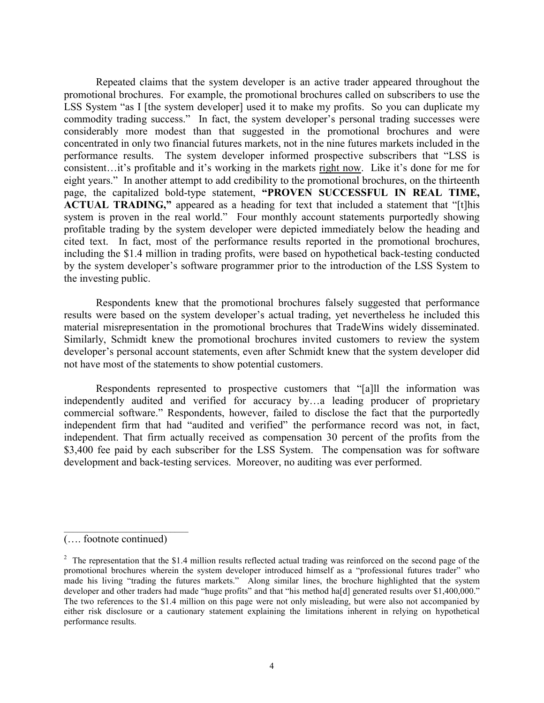Repeated claims that the system developer is an active trader appeared throughout the promotional brochures. For example, the promotional brochures called on subscribers to use the LSS System "as I [the system developer] used it to make my profits. So you can duplicate my commodity trading success." In fact, the system developer's personal trading successes were considerably more modest than that suggested in the promotional brochures and were concentrated in only two financial futures markets, not in the nine futures markets included in the performance results. The system developer informed prospective subscribers that "LSS is consistent…it's profitable and it's working in the markets right now. Like it's done for me for eight years." In another attempt to add credibility to the promotional brochures, on the thirteenth page, the capitalized bold-type statement, **"PROVEN SUCCESSFUL IN REAL TIME, ACTUAL TRADING,"** appeared as a heading for text that included a statement that "[t]his system is proven in the real world." Four monthly account statements purportedly showing profitable trading by the system developer were depicted immediately below the heading and cited text. In fact, most of the performance results reported in the promotional brochures, including the \$1.4 million in trading profits, were based on hypothetical back-testing conducted by the system developer's software programmer prior to the introduction of the LSS System to the investing public.

Respondents knew that the promotional brochures falsely suggested that performance results were based on the system developer's actual trading, yet nevertheless he included this material misrepresentation in the promotional brochures that TradeWins widely disseminated. Similarly, Schmidt knew the promotional brochures invited customers to review the system developer's personal account statements, even after Schmidt knew that the system developer did not have most of the statements to show potential customers.

Respondents represented to prospective customers that "[a]ll the information was independently audited and verified for accuracy by…a leading producer of proprietary commercial software." Respondents, however, failed to disclose the fact that the purportedly independent firm that had "audited and verified" the performance record was not, in fact, independent. That firm actually received as compensation 30 percent of the profits from the \$3,400 fee paid by each subscriber for the LSS System. The compensation was for software development and back-testing services. Moreover, no auditing was ever performed.

 $\mathcal{L}_\text{max}$ 

<sup>(….</sup> footnote continued)

 $2<sup>2</sup>$  The representation that the \$1.4 million results reflected actual trading was reinforced on the second page of the promotional brochures wherein the system developer introduced himself as a "professional futures trader" who made his living "trading the futures markets." Along similar lines, the brochure highlighted that the system developer and other traders had made "huge profits" and that "his method ha[d] generated results over \$1,400,000." The two references to the \$1.4 million on this page were not only misleading, but were also not accompanied by either risk disclosure or a cautionary statement explaining the limitations inherent in relying on hypothetical performance results.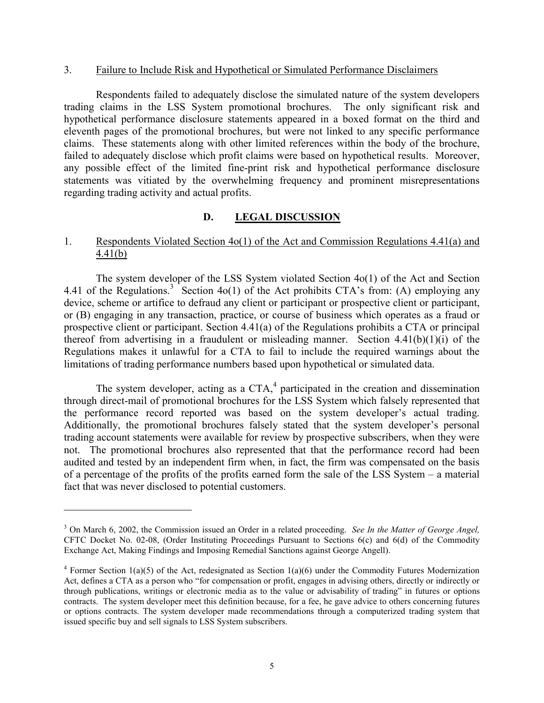### 3. Failure to Include Risk and Hypothetical or Simulated Performance Disclaimers

Respondents failed to adequately disclose the simulated nature of the system developers trading claims in the LSS System promotional brochures. The only significant risk and hypothetical performance disclosure statements appeared in a boxed format on the third and eleventh pages of the promotional brochures, but were not linked to any specific performance claims. These statements along with other limited references within the body of the brochure, failed to adequately disclose which profit claims were based on hypothetical results. Moreover, any possible effect of the limited fine-print risk and hypothetical performance disclosure statements was vitiated by the overwhelming frequency and prominent misrepresentations regarding trading activity and actual profits.

# **D. LEGAL DISCUSSION**

## 1. Respondents Violated Section 4o(1) of the Act and Commission Regulations 4.41(a) and 4.41(b)

The system developer of the LSS System violated Section 4o(1) of the Act and Section 4.41 of the Regulations.<sup>[3](#page-4-0)</sup> Section 4o(1) of the Act prohibits CTA's from: (A) employing any device, scheme or artifice to defraud any client or participant or prospective client or participant, or (B) engaging in any transaction, practice, or course of business which operates as a fraud or prospective client or participant. Section 4.41(a) of the Regulations prohibits a CTA or principal thereof from advertising in a fraudulent or misleading manner. Section  $4.41(b)(1)(i)$  of the Regulations makes it unlawful for a CTA to fail to include the required warnings about the limitations of trading performance numbers based upon hypothetical or simulated data.

The system developer, acting as a CTA, $4$  participated in the creation and dissemination through direct-mail of promotional brochures for the LSS System which falsely represented that the performance record reported was based on the system developer's actual trading. Additionally, the promotional brochures falsely stated that the system developer's personal trading account statements were available for review by prospective subscribers, when they were not. The promotional brochures also represented that that the performance record had been audited and tested by an independent firm when, in fact, the firm was compensated on the basis of a percentage of the profits of the profits earned form the sale of the LSS System – a material fact that was never disclosed to potential customers.

 $\overline{a}$ 

<span id="page-4-0"></span><sup>&</sup>lt;sup>3</sup> On March 6, 2002, the Commission issued an Order in a related proceeding. *See In the Matter of George Angel*, CFTC Docket No. 02-08, (Order Instituting Proceedings Pursuant to Sections 6(c) and 6(d) of the Commodity Exchange Act, Making Findings and Imposing Remedial Sanctions against George Angell).

<span id="page-4-1"></span><sup>&</sup>lt;sup>4</sup> Former Section 1(a)(5) of the Act, redesignated as Section 1(a)(6) under the Commodity Futures Modernization Act, defines a CTA as a person who "for compensation or profit, engages in advising others, directly or indirectly or through publications, writings or electronic media as to the value or advisability of trading" in futures or options contracts. The system developer meet this definition because, for a fee, he gave advice to others concerning futures or options contracts. The system developer made recommendations through a computerized trading system that issued specific buy and sell signals to LSS System subscribers.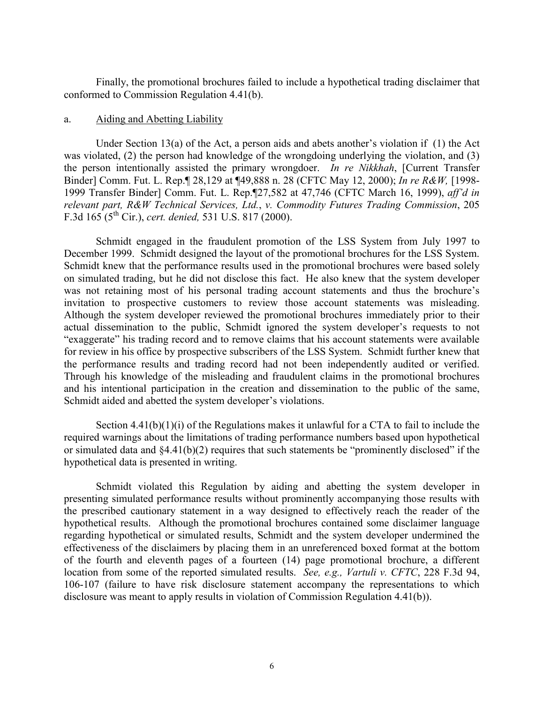Finally, the promotional brochures failed to include a hypothetical trading disclaimer that conformed to Commission Regulation 4.41(b).

#### a. Aiding and Abetting Liability

Under Section 13(a) of the Act, a person aids and abets another's violation if  $(1)$  the Act was violated, (2) the person had knowledge of the wrongdoing underlying the violation, and (3) the person intentionally assisted the primary wrongdoer. *In re Nikkhah*, [Current Transfer Binder] Comm. Fut. L. Rep.¶ 28,129 at ¶49,888 n. 28 (CFTC May 12, 2000); *In re R&W,* [1998- 1999 Transfer Binder] Comm. Fut. L. Rep.¶27,582 at 47,746 (CFTC March 16, 1999), *aff'd in relevant part, R&W Technical Services, Ltd.*, *v. Commodity Futures Trading Commission*, 205 F.3d 165 (5th Cir.), *cert. denied,* 531 U.S. 817 (2000).

Schmidt engaged in the fraudulent promotion of the LSS System from July 1997 to December 1999. Schmidt designed the layout of the promotional brochures for the LSS System. Schmidt knew that the performance results used in the promotional brochures were based solely on simulated trading, but he did not disclose this fact. He also knew that the system developer was not retaining most of his personal trading account statements and thus the brochure's invitation to prospective customers to review those account statements was misleading. Although the system developer reviewed the promotional brochures immediately prior to their actual dissemination to the public, Schmidt ignored the system developer's requests to not "exaggerate" his trading record and to remove claims that his account statements were available for review in his office by prospective subscribers of the LSS System. Schmidt further knew that the performance results and trading record had not been independently audited or verified. Through his knowledge of the misleading and fraudulent claims in the promotional brochures and his intentional participation in the creation and dissemination to the public of the same, Schmidt aided and abetted the system developer's violations.

Section  $4.41(b)(1)(i)$  of the Regulations makes it unlawful for a CTA to fail to include the required warnings about the limitations of trading performance numbers based upon hypothetical or simulated data and §4.41(b)(2) requires that such statements be "prominently disclosed" if the hypothetical data is presented in writing.

Schmidt violated this Regulation by aiding and abetting the system developer in presenting simulated performance results without prominently accompanying those results with the prescribed cautionary statement in a way designed to effectively reach the reader of the hypothetical results. Although the promotional brochures contained some disclaimer language regarding hypothetical or simulated results, Schmidt and the system developer undermined the effectiveness of the disclaimers by placing them in an unreferenced boxed format at the bottom of the fourth and eleventh pages of a fourteen (14) page promotional brochure, a different location from some of the reported simulated results. *See, e.g., Vartuli v. CFTC*, 228 F.3d 94, 106-107 (failure to have risk disclosure statement accompany the representations to which disclosure was meant to apply results in violation of Commission Regulation 4.41(b)).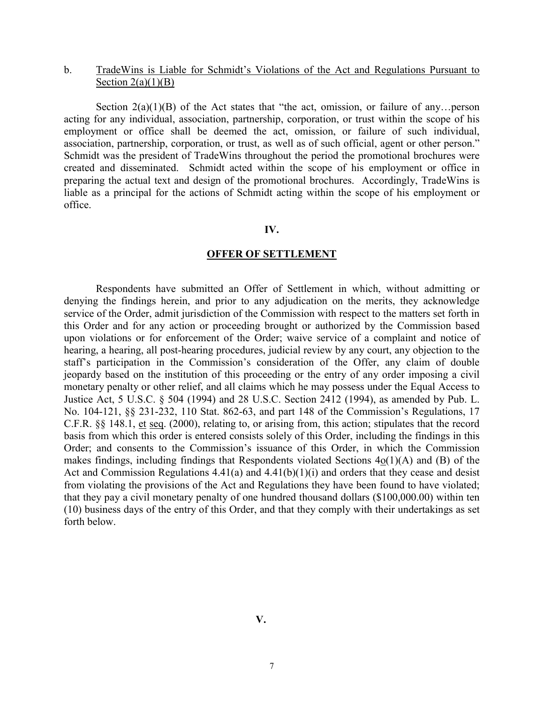### b. TradeWins is Liable for Schmidt's Violations of the Act and Regulations Pursuant to Section  $2(a)(1)(B)$

Section  $2(a)(1)(B)$  of the Act states that "the act, omission, or failure of any...person acting for any individual, association, partnership, corporation, or trust within the scope of his employment or office shall be deemed the act, omission, or failure of such individual, association, partnership, corporation, or trust, as well as of such official, agent or other person." Schmidt was the president of TradeWins throughout the period the promotional brochures were created and disseminated. Schmidt acted within the scope of his employment or office in preparing the actual text and design of the promotional brochures. Accordingly, TradeWins is liable as a principal for the actions of Schmidt acting within the scope of his employment or office.

#### **IV.**

#### **OFFER OF SETTLEMENT**

Respondents have submitted an Offer of Settlement in which, without admitting or denying the findings herein, and prior to any adjudication on the merits, they acknowledge service of the Order, admit jurisdiction of the Commission with respect to the matters set forth in this Order and for any action or proceeding brought or authorized by the Commission based upon violations or for enforcement of the Order; waive service of a complaint and notice of hearing, a hearing, all post-hearing procedures, judicial review by any court, any objection to the staff's participation in the Commission's consideration of the Offer, any claim of double jeopardy based on the institution of this proceeding or the entry of any order imposing a civil monetary penalty or other relief, and all claims which he may possess under the Equal Access to Justice Act, 5 U.S.C. § 504 (1994) and 28 U.S.C. Section 2412 (1994), as amended by Pub. L. No. 104-121, §§ 231-232, 110 Stat. 862-63, and part 148 of the Commission's Regulations, 17 C.F.R. §§ 148.1, et seq. (2000), relating to, or arising from, this action; stipulates that the record basis from which this order is entered consists solely of this Order, including the findings in this Order; and consents to the Commission's issuance of this Order, in which the Commission makes findings, including findings that Respondents violated Sections 4o(1)(A) and (B) of the Act and Commission Regulations  $4.41(a)$  and  $4.41(b)(1)(i)$  and orders that they cease and desist from violating the provisions of the Act and Regulations they have been found to have violated; that they pay a civil monetary penalty of one hundred thousand dollars (\$100,000.00) within ten (10) business days of the entry of this Order, and that they comply with their undertakings as set forth below.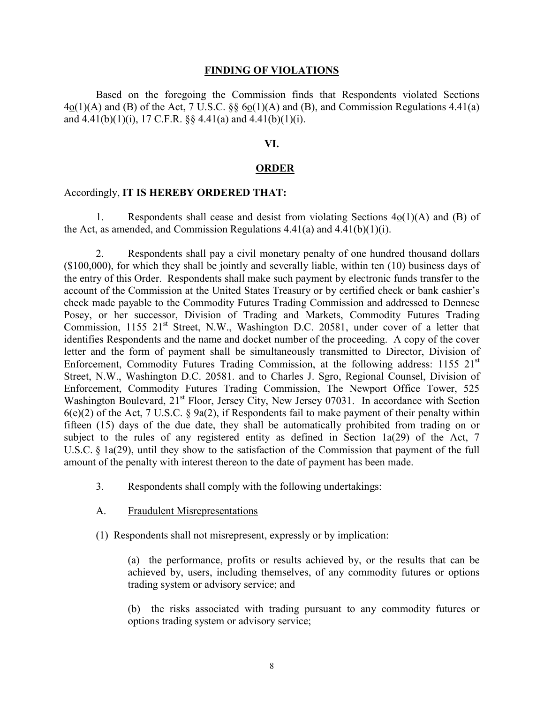#### **FINDING OF VIOLATIONS**

Based on the foregoing the Commission finds that Respondents violated Sections  $4o(1)(A)$  and (B) of the Act, 7 U.S.C. §§  $6o(1)(A)$  and (B), and Commission Regulations 4.41(a) and  $4.41(b)(1)(i)$ , 17 C.F.R. §§  $4.41(a)$  and  $4.41(b)(1)(i)$ .

#### **VI.**

### **ORDER**

#### Accordingly, **IT IS HEREBY ORDERED THAT:**

1. Respondents shall cease and desist from violating Sections 4o(1)(A) and (B) of the Act, as amended, and Commission Regulations  $4.41(a)$  and  $4.41(b)(1)(i)$ .

2. Respondents shall pay a civil monetary penalty of one hundred thousand dollars (\$100,000), for which they shall be jointly and severally liable, within ten (10) business days of the entry of this Order. Respondents shall make such payment by electronic funds transfer to the account of the Commission at the United States Treasury or by certified check or bank cashier's check made payable to the Commodity Futures Trading Commission and addressed to Dennese Posey, or her successor, Division of Trading and Markets, Commodity Futures Trading Commission,  $1155 \t21<sup>st</sup>$  Street, N.W., Washington D.C. 20581, under cover of a letter that identifies Respondents and the name and docket number of the proceeding. A copy of the cover letter and the form of payment shall be simultaneously transmitted to Director, Division of Enforcement, Commodity Futures Trading Commission, at the following address: 1155 21<sup>st</sup> Street, N.W., Washington D.C. 20581. and to Charles J. Sgro, Regional Counsel, Division of Enforcement, Commodity Futures Trading Commission, The Newport Office Tower, 525 Washington Boulevard,  $21^{st}$  Floor, Jersey City, New Jersey 07031. In accordance with Section  $6(e)(2)$  of the Act, 7 U.S.C. § 9a(2), if Respondents fail to make payment of their penalty within fifteen (15) days of the due date, they shall be automatically prohibited from trading on or subject to the rules of any registered entity as defined in Section 1a(29) of the Act, 7 U.S.C. § 1a(29), until they show to the satisfaction of the Commission that payment of the full amount of the penalty with interest thereon to the date of payment has been made.

- 3. Respondents shall comply with the following undertakings:
- A. Fraudulent Misrepresentations
- (1) Respondents shall not misrepresent, expressly or by implication:

(a) the performance, profits or results achieved by, or the results that can be achieved by, users, including themselves, of any commodity futures or options trading system or advisory service; and

(b) the risks associated with trading pursuant to any commodity futures or options trading system or advisory service;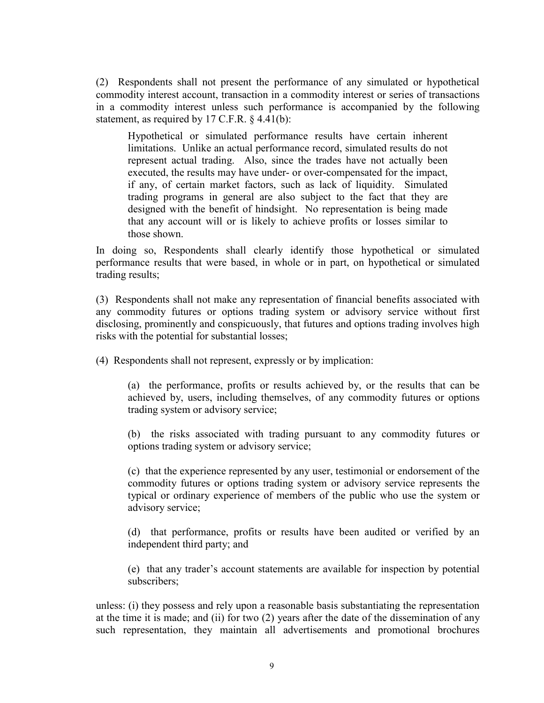(2) Respondents shall not present the performance of any simulated or hypothetical commodity interest account, transaction in a commodity interest or series of transactions in a commodity interest unless such performance is accompanied by the following statement, as required by 17 C.F.R. § 4.41(b):

Hypothetical or simulated performance results have certain inherent limitations. Unlike an actual performance record, simulated results do not represent actual trading. Also, since the trades have not actually been executed, the results may have under- or over-compensated for the impact, if any, of certain market factors, such as lack of liquidity. Simulated trading programs in general are also subject to the fact that they are designed with the benefit of hindsight. No representation is being made that any account will or is likely to achieve profits or losses similar to those shown.

In doing so, Respondents shall clearly identify those hypothetical or simulated performance results that were based, in whole or in part, on hypothetical or simulated trading results;

(3) Respondents shall not make any representation of financial benefits associated with any commodity futures or options trading system or advisory service without first disclosing, prominently and conspicuously, that futures and options trading involves high risks with the potential for substantial losses;

(4) Respondents shall not represent, expressly or by implication:

(a) the performance, profits or results achieved by, or the results that can be achieved by, users, including themselves, of any commodity futures or options trading system or advisory service;

(b) the risks associated with trading pursuant to any commodity futures or options trading system or advisory service;

(c) that the experience represented by any user, testimonial or endorsement of the commodity futures or options trading system or advisory service represents the typical or ordinary experience of members of the public who use the system or advisory service;

(d) that performance, profits or results have been audited or verified by an independent third party; and

(e) that any trader's account statements are available for inspection by potential subscribers;

unless: (i) they possess and rely upon a reasonable basis substantiating the representation at the time it is made; and (ii) for two (2) years after the date of the dissemination of any such representation, they maintain all advertisements and promotional brochures